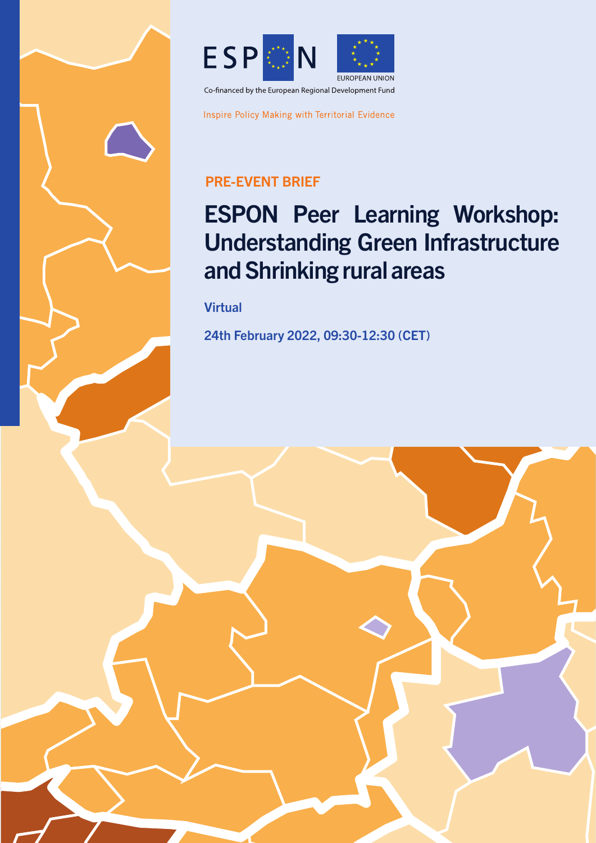

Inspire Policy Making with Territorial Evidence

## PRE-EVENT BRIEF

# ESPON Peer Learning Workshop: Understanding Green Infrastructure and Shrinking rural areas

**Virtual** 

24th February 2022, 09:30-12:30 (CET)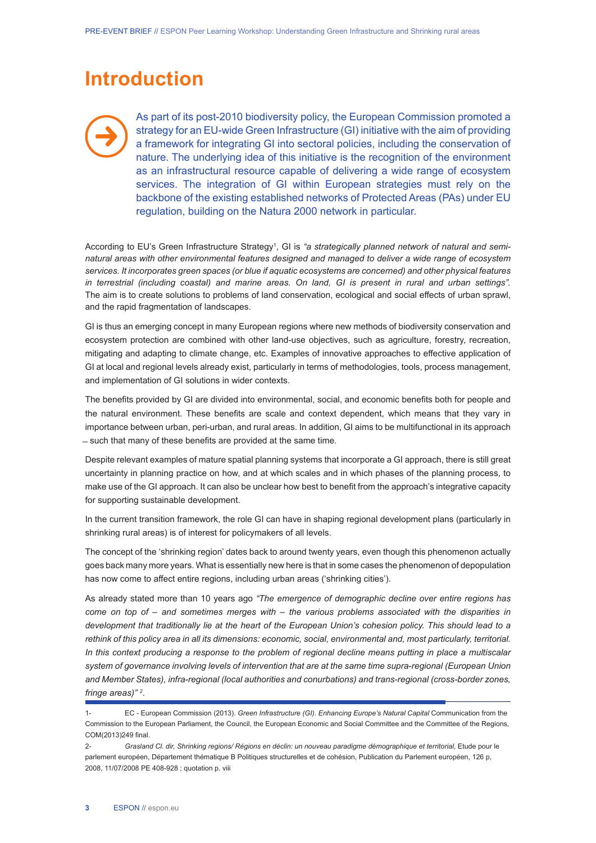## **Introduction**

As part of its post-2010 biodiversity policy, the European Commission promoted a strategy for an EU-wide Green Infrastructure (GI) initiative with the aim of providing a framework for integrating GI into sectoral policies, including the conservation of nature. The underlying idea of this initiative is the recognition of the environment as an infrastructural resource capable of delivering a wide range of ecosystem services. The integration of GI within European strategies must rely on the backbone of the existing established networks of Protected Areas (PAs) under EU regulation, building on the Natura 2000 network in particular.

According to EU's Green Infrastructure Strategy<sup>1</sup>, GI is *"a strategically planned network of natural and seminatural areas with other environmental features designed and managed to deliver a wide range of ecosystem services. It incorporates green spaces (or blue if aquatic ecosystems are concerned) and other physical features in terrestrial (including coastal) and marine areas. On land, GI is present in rural and urban settings".* The aim is to create solutions to problems of land conservation, ecological and social effects of urban sprawl, and the rapid fragmentation of landscapes.

GI is thus an emerging concept in many European regions where new methods of biodiversity conservation and ecosystem protection are combined with other land-use objectives, such as agriculture, forestry, recreation, mitigating and adapting to climate change, etc. Examples of innovative approaches to effective application of GI at local and regional levels already exist, particularly in terms of methodologies, tools, process management, and implementation of GI solutions in wider contexts.

The benefits provided by GI are divided into environmental, social, and economic benefits both for people and the natural environment. These benefits are scale and context dependent, which means that they vary in importance between urban, peri-urban, and rural areas. In addition, GI aims to be multifunctional in its approach ̶ such that many of these benefits are provided at the same time.

Despite relevant examples of mature spatial planning systems that incorporate a GI approach, there is still great uncertainty in planning practice on how, and at which scales and in which phases of the planning process, to make use of the GI approach. It can also be unclear how best to benefit from the approach's integrative capacity for supporting sustainable development.

In the current transition framework, the role GI can have in shaping regional development plans (particularly in shrinking rural areas) is of interest for policymakers of all levels.

The concept of the 'shrinking region' dates back to around twenty years, even though this phenomenon actually goes back many more years. What is essentially new here is that in some cases the phenomenon of depopulation has now come to affect entire regions, including urban areas ('shrinking cities').

As already stated more than 10 years ago *"The emergence of demographic decline over entire regions has come on top of – and sometimes merges with – the various problems associated with the disparities in*  development that traditionally lie at the heart of the European Union's cohesion policy. This should lead to a *rethink of this policy area in all its dimensions: economic, social, environmental and, most particularly, territorial. In this context producing a response to the problem of regional decline means putting in place a multiscalar system of governance involving levels of intervention that are at the same time supra-regional (European Union and Member States), infra-regional (local authorities and conurbations) and trans-regional (cross-border zones, fringe areas)" 2* .

<sup>1-</sup> EC - European Commission (2013). *Green Infrastructure (GI). Enhancing Europe's Natural Capital* Communication from the Commission to the European Parliament, the Council, the European Economic and Social Committee and the Committee of the Regions, COM(2013)249 final.

<sup>2-</sup> Grasland Cl. dir, Shrinking regions/ Régions en déclin: un nouveau paradigme démographique et territorial, Etude pour le parlement européen, Département thématique B Politiques structurelles et de cohésion, Publication du Parlement européen, 126 p, 2008, 11/07/2008 PE 408-928 ; quotation p. viii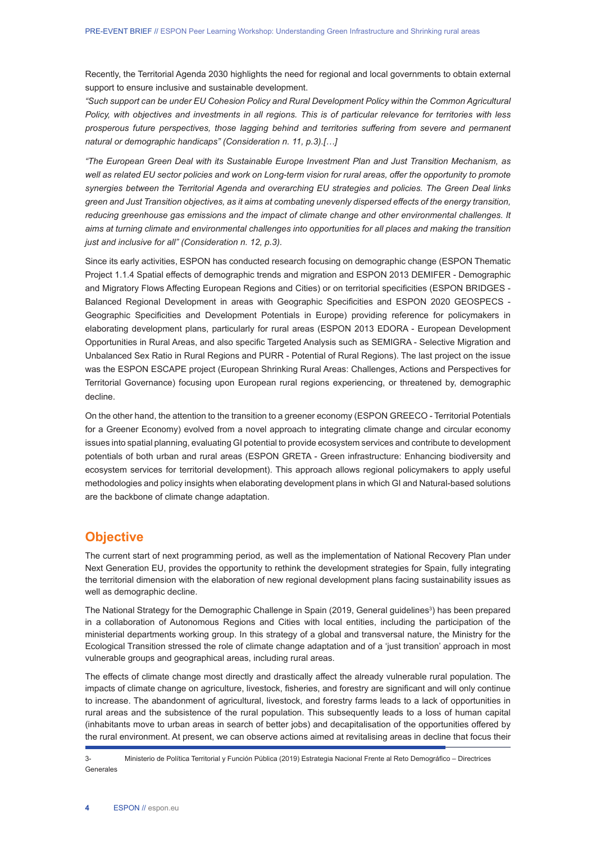Recently, the Territorial Agenda 2030 highlights the need for regional and local governments to obtain external support to ensure inclusive and sustainable development.

*"Such support can be under EU Cohesion Policy and Rural Development Policy within the Common Agricultural Policy, with objectives and investments in all regions. This is of particular relevance for territories with less prosperous future perspectives, those lagging behind and territories suffering from severe and permanent natural or demographic handicaps" (Consideration n. 11, p.3).[…]*

*"The European Green Deal with its Sustainable Europe Investment Plan and Just Transition Mechanism, as*  well as related EU sector policies and work on Long-term vision for rural areas, offer the opportunity to promote *synergies between the Territorial Agenda and overarching EU strategies and policies. The Green Deal links green and Just Transition objectives, as it aims at combating unevenly dispersed effects of the energy transition, reducing greenhouse gas emissions and the impact of climate change and other environmental challenges. It aims at turning climate and environmental challenges into opportunities for all places and making the transition just and inclusive for all" (Consideration n. 12, p.3).*

Since its early activities, ESPON has conducted research focusing on demographic change (ESPON Thematic Project 1.1.4 Spatial effects of demographic trends and migration and ESPON 2013 DEMIFER - Demographic and Migratory Flows Affecting European Regions and Cities) or on territorial specificities (ESPON BRIDGES - Balanced Regional Development in areas with Geographic Specificities and ESPON 2020 GEOSPECS - Geographic Specificities and Development Potentials in Europe) providing reference for policymakers in elaborating development plans, particularly for rural areas (ESPON 2013 EDORA - European Development Opportunities in Rural Areas, and also specific Targeted Analysis such as SEMIGRA - Selective Migration and Unbalanced Sex Ratio in Rural Regions and PURR - Potential of Rural Regions). The last project on the issue was the ESPON ESCAPE project (European Shrinking Rural Areas: Challenges, Actions and Perspectives for Territorial Governance) focusing upon European rural regions experiencing, or threatened by, demographic decline.

On the other hand, the attention to the transition to a greener economy (ESPON GREECO - Territorial Potentials for a Greener Economy) evolved from a novel approach to integrating climate change and circular economy issues into spatial planning, evaluating GI potential to provide ecosystem services and contribute to development potentials of both urban and rural areas (ESPON GRETA - Green infrastructure: Enhancing biodiversity and ecosystem services for territorial development). This approach allows regional policymakers to apply useful methodologies and policy insights when elaborating development plans in which GI and Natural-based solutions are the backbone of climate change adaptation.

#### **Objective**

The current start of next programming period, as well as the implementation of National Recovery Plan under Next Generation EU, provides the opportunity to rethink the development strategies for Spain, fully integrating the territorial dimension with the elaboration of new regional development plans facing sustainability issues as well as demographic decline.

The National Strategy for the Demographic Challenge in Spain (2019, General guidelines<sup>3</sup>) has been prepared in a collaboration of Autonomous Regions and Cities with local entities, including the participation of the ministerial departments working group. In this strategy of a global and transversal nature, the Ministry for the Ecological Transition stressed the role of climate change adaptation and of a 'just transition' approach in most vulnerable groups and geographical areas, including rural areas.

The effects of climate change most directly and drastically affect the already vulnerable rural population. The impacts of climate change on agriculture, livestock, fisheries, and forestry are significant and will only continue to increase. The abandonment of agricultural, livestock, and forestry farms leads to a lack of opportunities in rural areas and the subsistence of the rural population. This subsequently leads to a loss of human capital (inhabitants move to urban areas in search of better jobs) and decapitalisation of the opportunities offered by the rural environment. At present, we can observe actions aimed at revitalising areas in decline that focus their

<sup>3-</sup> Ministerio de Política Territorial y Función Pública (2019) Estrategia Nacional Frente al Reto Demográfico – Directrices Generales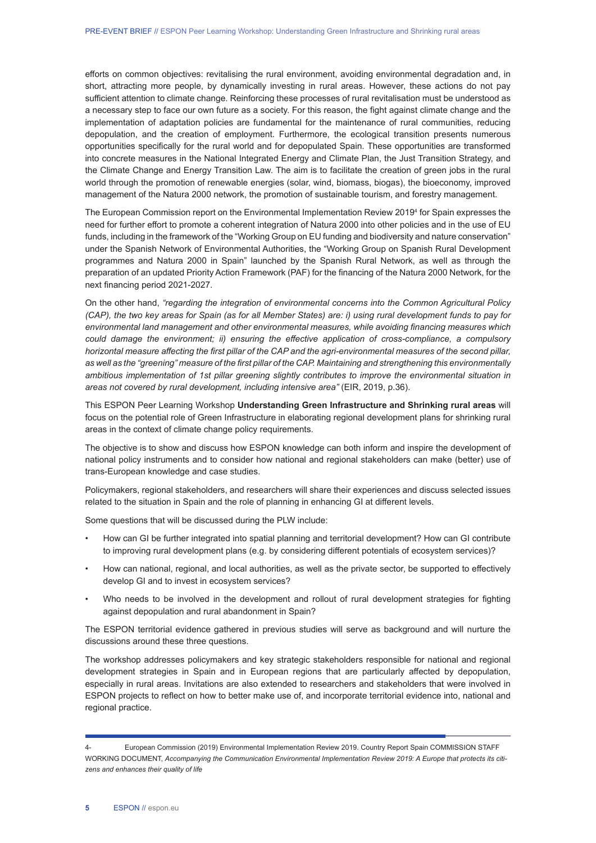efforts on common objectives: revitalising the rural environment, avoiding environmental degradation and, in short, attracting more people, by dynamically investing in rural areas. However, these actions do not pay sufficient attention to climate change. Reinforcing these processes of rural revitalisation must be understood as a necessary step to face our own future as a society. For this reason, the fight against climate change and the implementation of adaptation policies are fundamental for the maintenance of rural communities, reducing depopulation, and the creation of employment. Furthermore, the ecological transition presents numerous opportunities specifically for the rural world and for depopulated Spain. These opportunities are transformed into concrete measures in the National Integrated Energy and Climate Plan, the Just Transition Strategy, and the Climate Change and Energy Transition Law. The aim is to facilitate the creation of green jobs in the rural world through the promotion of renewable energies (solar, wind, biomass, biogas), the bioeconomy, improved management of the Natura 2000 network, the promotion of sustainable tourism, and forestry management.

The European Commission report on the Environmental Implementation Review 20194 for Spain expresses the need for further effort to promote a coherent integration of Natura 2000 into other policies and in the use of EU funds, including in the framework of the "Working Group on EU funding and biodiversity and nature conservation" under the Spanish Network of Environmental Authorities, the "Working Group on Spanish Rural Development programmes and Natura 2000 in Spain" launched by the Spanish Rural Network, as well as through the preparation of an updated Priority Action Framework (PAF) for the financing of the Natura 2000 Network, for the next financing period 2021-2027.

On the other hand, *"regarding the integration of environmental concerns into the Common Agricultural Policy (CAP), the two key areas for Spain (as for all Member States) are: i) using rural development funds to pay for environmental land management and other environmental measures, while avoiding financing measures which could damage the environment; ii) ensuring the effective application of cross-compliance, a compulsory horizontal measure affecting the first pillar of the CAP and the agri-environmental measures of the second pillar, as well as the "greening" measure of the first pillar of the CAP. Maintaining and strengthening this environmentally ambitious implementation of 1st pillar greening slightly contributes to improve the environmental situation in areas not covered by rural development, including intensive area"* (EIR, 2019, p.36).

This ESPON Peer Learning Workshop **Understanding Green Infrastructure and Shrinking rural areas** will focus on the potential role of Green Infrastructure in elaborating regional development plans for shrinking rural areas in the context of climate change policy requirements.

The objective is to show and discuss how ESPON knowledge can both inform and inspire the development of national policy instruments and to consider how national and regional stakeholders can make (better) use of trans-European knowledge and case studies.

Policymakers, regional stakeholders, and researchers will share their experiences and discuss selected issues related to the situation in Spain and the role of planning in enhancing GI at different levels.

Some questions that will be discussed during the PLW include:

- How can GI be further integrated into spatial planning and territorial development? How can GI contribute to improving rural development plans (e.g. by considering different potentials of ecosystem services)?
- How can national, regional, and local authorities, as well as the private sector, be supported to effectively develop GI and to invest in ecosystem services?
- Who needs to be involved in the development and rollout of rural development strategies for fighting against depopulation and rural abandonment in Spain?

The ESPON territorial evidence gathered in previous studies will serve as background and will nurture the discussions around these three questions.

The workshop addresses policymakers and key strategic stakeholders responsible for national and regional development strategies in Spain and in European regions that are particularly affected by depopulation, especially in rural areas. Invitations are also extended to researchers and stakeholders that were involved in ESPON projects to reflect on how to better make use of, and incorporate territorial evidence into, national and regional practice.

<sup>4-</sup> European Commission (2019) Environmental Implementation Review 2019. Country Report Spain COMMISSION STAFF WORKING DOCUMENT, *Accompanying the Communication Environmental Implementation Review 2019: A Europe that protects its citizens and enhances their quality of life*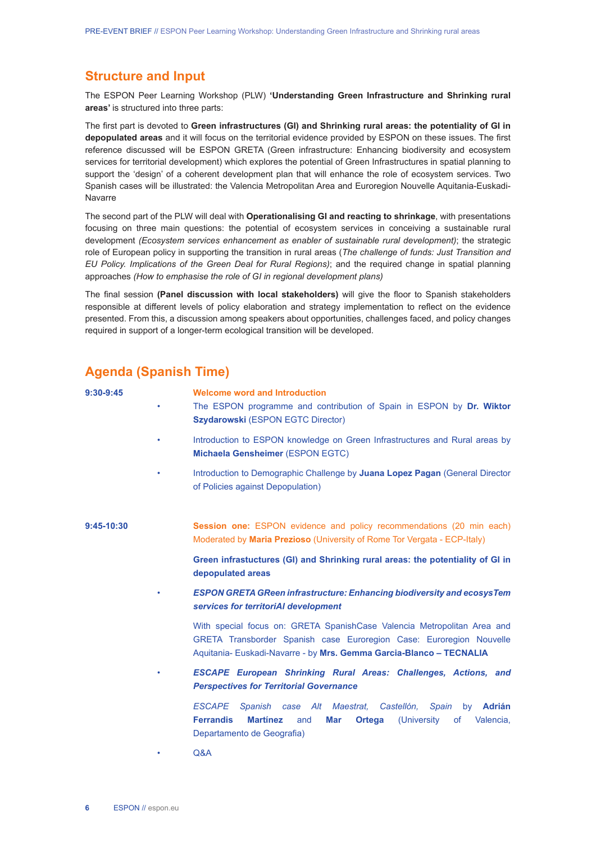#### **Structure and Input**

The ESPON Peer Learning Workshop (PLW) **'Understanding Green Infrastructure and Shrinking rural areas'** is structured into three parts:

The first part is devoted to **Green infrastructures (GI) and Shrinking rural areas: the potentiality of GI in depopulated areas** and it will focus on the territorial evidence provided by ESPON on these issues. The first reference discussed will be ESPON GRETA (Green infrastructure: Enhancing biodiversity and ecosystem services for territorial development) which explores the potential of Green Infrastructures in spatial planning to support the 'design' of a coherent development plan that will enhance the role of ecosystem services. Two Spanish cases will be illustrated: the Valencia Metropolitan Area and Euroregion Nouvelle Aquitania-Euskadi-Navarre

The second part of the PLW will deal with **Operationalising GI and reacting to shrinkage**, with presentations focusing on three main questions: the potential of ecosystem services in conceiving a sustainable rural development *(Ecosystem services enhancement as enabler of sustainable rural development)*; the strategic role of European policy in supporting the transition in rural areas (*The challenge of funds: Just Transition and EU Policy. Implications of the Green Deal for Rural Regions)*; and the required change in spatial planning approaches *(How to emphasise the role of GI in regional development plans)*

The final session **(Panel discussion with local stakeholders)** will give the floor to Spanish stakeholders responsible at different levels of policy elaboration and strategy implementation to reflect on the evidence presented. From this, a discussion among speakers about opportunities, challenges faced, and policy changes required in support of a longer-term ecological transition will be developed.

### **Agenda (Spanish Time)**

| $9:30-9:45$  | ٠                                 | <b>Welcome word and Introduction</b><br>The ESPON programme and contribution of Spain in ESPON by Dr. Wiktor<br>Szydarowski (ESPON EGTC Director)                                                                     |
|--------------|-----------------------------------|-----------------------------------------------------------------------------------------------------------------------------------------------------------------------------------------------------------------------|
|              |                                   | Introduction to ESPON knowledge on Green Infrastructures and Rural areas by<br>Michaela Gensheimer (ESPON EGTC)                                                                                                       |
|              | ٠                                 | Introduction to Demographic Challenge by Juana Lopez Pagan (General Director<br>of Policies against Depopulation)                                                                                                     |
| $9:45-10:30$ |                                   | <b>Session one:</b> ESPON evidence and policy recommendations (20 min each)<br>Moderated by Maria Prezioso (University of Rome Tor Vergata - ECP-Italy)                                                               |
|              |                                   | Green infrastuctures (GI) and Shrinking rural areas: the potentiality of GI in<br>depopulated areas                                                                                                                   |
|              |                                   | <b>ESPON GRETA GReen infrastructure: Enhancing biodiversity and ecosys Tem</b><br>services for territoriAI development                                                                                                |
|              |                                   | With special focus on: GRETA SpanishCase Valencia Metropolitan Area and<br>GRETA Transborder Spanish case Euroregion Case: Euroregion Nouvelle<br>Aquitania- Euskadi-Navarre - by Mrs. Gemma Garcia-Blanco - TECNALIA |
|              | ٠                                 | <b>ESCAPE European Shrinking Rural Areas: Challenges, Actions, and</b><br><b>Perspectives for Territorial Governance</b>                                                                                              |
|              | <b>ESCAPE</b><br><b>Ferrandis</b> | <b>Adrián</b><br>Spanish case Alt Maestrat.<br>Castellón,<br>Spain<br>by<br><b>Martinez</b><br>and<br>Mar<br><b>Ortega</b><br>(University<br>Valencia,<br>of<br>Departamento de Geografia)                            |
|              | Q&A<br>٠                          |                                                                                                                                                                                                                       |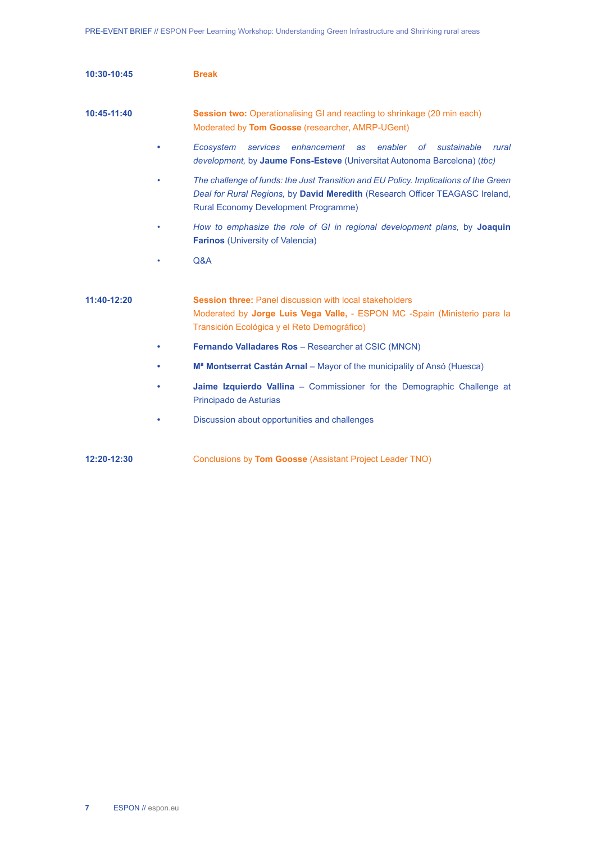| 10:30-10:45   | <b>Break</b>                                                                                                                                                                                                        |
|---------------|---------------------------------------------------------------------------------------------------------------------------------------------------------------------------------------------------------------------|
| $10:45-11:40$ | <b>Session two:</b> Operationalising GI and reacting to shrinkage (20 min each)<br>Moderated by Tom Goosse (researcher, AMRP-UGent)                                                                                 |
|               | enhancement<br>enabler<br>Ecosystem<br>services<br>as<br>of<br>sustainable<br>rural<br>development, by Jaume Fons-Esteve (Universitat Autonoma Barcelona) (tbc)                                                     |
|               | The challenge of funds: the Just Transition and EU Policy. Implications of the Green<br>Deal for Rural Regions, by David Meredith (Research Officer TEAGASC Ireland,<br><b>Rural Economy Development Programme)</b> |
|               | How to emphasize the role of GI in regional development plans, by Joaquin<br><b>Farinos</b> (University of Valencia)                                                                                                |
|               | Q&A                                                                                                                                                                                                                 |
| 11:40-12:20   | <b>Session three: Panel discussion with local stakeholders</b><br>Moderated by Jorge Luis Vega Valle, - ESPON MC -Spain (Ministerio para la<br>Transición Ecológica y el Reto Demográfico)                          |
|               | Fernando Valladares Ros - Researcher at CSIC (MNCN)                                                                                                                                                                 |
|               | M <sup>a</sup> Montserrat Castán Arnal – Mayor of the municipality of Ansó (Huesca)                                                                                                                                 |
|               | Jaime Izquierdo Vallina - Commissioner for the Demographic Challenge at<br>Principado de Asturias                                                                                                                   |
|               | Discussion about opportunities and challenges                                                                                                                                                                       |
| 12:20-12:30   | Conclusions by Tom Goosse (Assistant Project Leader TNO)                                                                                                                                                            |